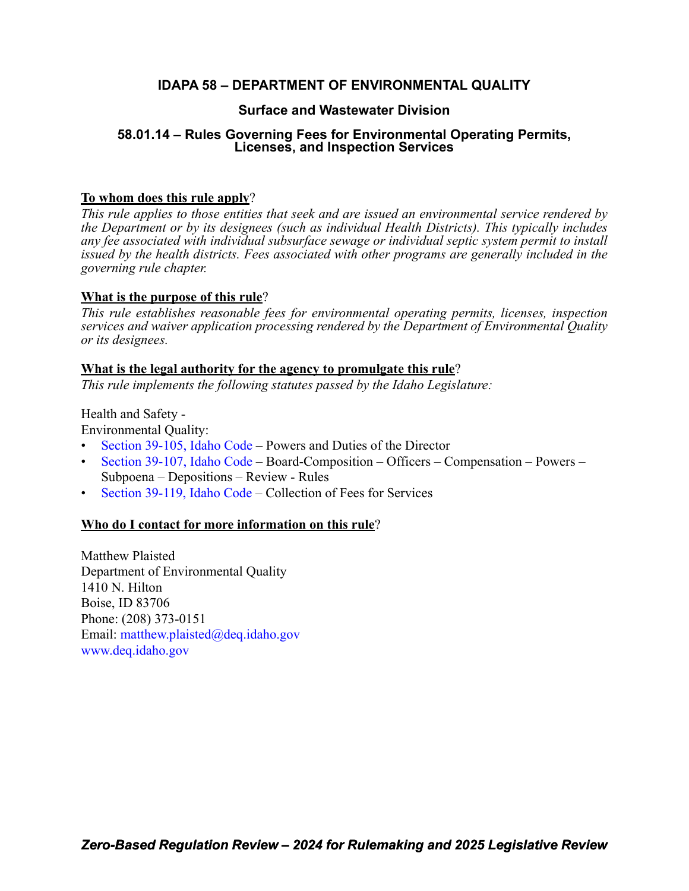# **IDAPA 58 – DEPARTMENT OF ENVIRONMENTAL QUALITY**

## **Surface and Wastewater Division**

# **58.01.14 – Rules Governing Fees for Environmental Operating Permits, Licenses, and Inspection Services**

# **To whom does this rule apply**?

*This rule applies to those entities that seek and are issued an environmental service rendered by the Department or by its designees (such as individual Health Districts). This typically includes any fee associated with individual subsurface sewage or individual septic system permit to install issued by the health districts. Fees associated with other programs are generally included in the governing rule chapter.*

### **What is the purpose of this rule**?

*This rule establishes reasonable fees for environmental operating permits, licenses, inspection services and waiver application processing rendered by the Department of Environmental Quality or its designees.*

### **What is the legal authority for the agency to promulgate this rule**?

*This rule implements the following statutes passed by the Idaho Legislature:*

Health and Safety -

Environmental Quality:

- [Section 39-105, Idaho Code](https://legislature.idaho.gov/statutesrules/idstat/Title39/T39CH1/SECT39-105/)  Powers and Duties of the Director
- [Section 39-107, Idaho Code](https://legislature.idaho.gov/statutesrules/idstat/Title39/T39CH1/SECT39-107/)  Board-Composition Officers Compensation Powers Subpoena – Depositions – Review - Rules
- [Section 39-119, Idaho Code](https://legislature.idaho.gov/statutesrules/idstat/Title39/T39CH1/SECT39-119/) Collection of Fees for Services

### **Who do I contact for more information on this rule**?

Matthew Plaisted Department of Environmental Quality 1410 N. Hilton Boise, ID 83706 Phone: (208) 373-0151 Email: [matthew.plaisted@deq.idaho.gov](mailto:matthew.plaisted@deq.idaho.gov) [www.deq.idaho.gov](http://www.deq.idaho.gov)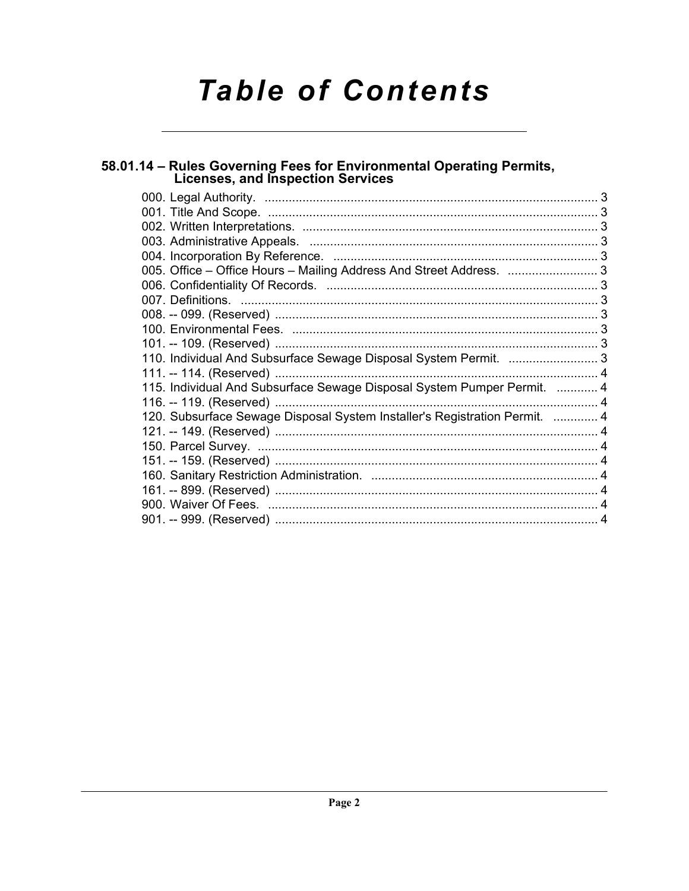# **Table of Contents**

# 58.01.14 – Rules Governing Fees for Environmental Operating Permits,<br>Licenses, and Inspection Services

| 005. Office - Office Hours - Mailing Address And Street Address. 3<br>110. Individual And Subsurface Sewage Disposal System Permit.  3<br>115. Individual And Subsurface Sewage Disposal System Pumper Permit.  4<br>120. Subsurface Sewage Disposal System Installer's Registration Permit.  4 |
|-------------------------------------------------------------------------------------------------------------------------------------------------------------------------------------------------------------------------------------------------------------------------------------------------|
|                                                                                                                                                                                                                                                                                                 |
|                                                                                                                                                                                                                                                                                                 |
|                                                                                                                                                                                                                                                                                                 |
|                                                                                                                                                                                                                                                                                                 |
|                                                                                                                                                                                                                                                                                                 |
|                                                                                                                                                                                                                                                                                                 |
|                                                                                                                                                                                                                                                                                                 |
|                                                                                                                                                                                                                                                                                                 |
|                                                                                                                                                                                                                                                                                                 |
|                                                                                                                                                                                                                                                                                                 |
|                                                                                                                                                                                                                                                                                                 |
|                                                                                                                                                                                                                                                                                                 |
|                                                                                                                                                                                                                                                                                                 |
|                                                                                                                                                                                                                                                                                                 |
|                                                                                                                                                                                                                                                                                                 |
|                                                                                                                                                                                                                                                                                                 |
|                                                                                                                                                                                                                                                                                                 |
|                                                                                                                                                                                                                                                                                                 |
|                                                                                                                                                                                                                                                                                                 |
|                                                                                                                                                                                                                                                                                                 |
|                                                                                                                                                                                                                                                                                                 |
|                                                                                                                                                                                                                                                                                                 |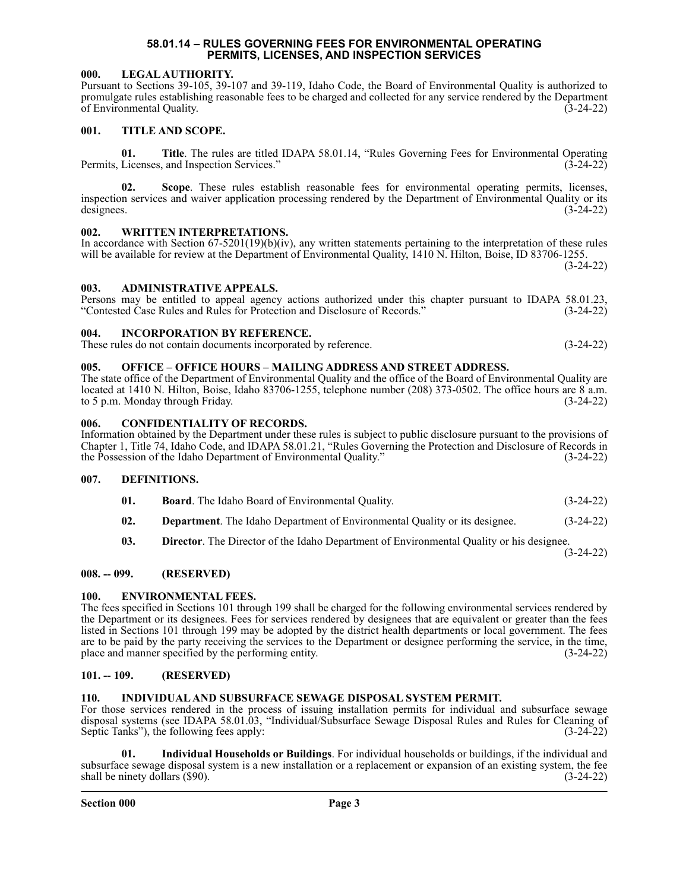#### **58.01.14 – RULES GOVERNING FEES FOR ENVIRONMENTAL OPERATING PERMITS, LICENSES, AND INSPECTION SERVICES**

#### <span id="page-2-1"></span><span id="page-2-0"></span>**000. LEGAL AUTHORITY.**

Pursuant to Sections 39-105, 39-107 and 39-119, Idaho Code, the Board of Environmental Quality is authorized to promulgate rules establishing reasonable fees to be charged and collected for any service rendered by the Department of Environmental Quality.

#### <span id="page-2-2"></span>**001. TITLE AND SCOPE.**

**01. Title**. The rules are titled IDAPA 58.01.14, "Rules Governing Fees for Environmental Operating Permits, Licenses, and Inspection Services." (3-24-22)

**02. Scope**. These rules establish reasonable fees for environmental operating permits, licenses, inspection services and waiver application processing rendered by the Department of Environmental Quality or its designees.  $(3-24-22)$ 

#### <span id="page-2-3"></span>**002. WRITTEN INTERPRETATIONS.**

In accordance with Section  $67-5201(19)(b)(iv)$ , any written statements pertaining to the interpretation of these rules will be available for review at the Department of Environmental Quality, 1410 N. Hilton, Boise, ID 83706-1255.

Persons may be entitled to appeal agency actions authorized under this chapter pursuant to IDAPA 58.01.23, "Contested Case Rules and Rules for Protection and Disclosure of Records." (3-24-22)

(3-24-22)

#### <span id="page-2-4"></span>**003. ADMINISTRATIVE APPEALS.**

# <span id="page-2-5"></span>**004. INCORPORATION BY REFERENCE.**

These rules do not contain documents incorporated by reference. (3-24-22)

#### <span id="page-2-6"></span>**005. OFFICE – OFFICE HOURS – MAILING ADDRESS AND STREET ADDRESS.**

The state office of the Department of Environmental Quality and the office of the Board of Environmental Quality are located at 1410 N. Hilton, Boise, Idaho 83706-1255, telephone number (208) 373-0502. The office hours are 8 a.m. to 5 p.m. Monday through Friday. (3-24-22)

#### <span id="page-2-7"></span>**006. CONFIDENTIALITY OF RECORDS.**

Information obtained by the Department under these rules is subject to public disclosure pursuant to the provisions of Chapter 1, Title 74, Idaho Code, and IDAPA 58.01.21, "Rules Governing the Protection and Disclosure of Records in the Possession of the Idaho Department of Environmental Quality."

#### <span id="page-2-8"></span>**007. DEFINITIONS.**

- **01. Board**. The Idaho Board of Environmental Quality. (3-24-22)
- **02. Department**. The Idaho Department of Environmental Quality or its designee. (3-24-22)
- **03. Director**. The Director of the Idaho Department of Environmental Quality or his designee.

(3-24-22)

#### <span id="page-2-9"></span>**008. -- 099. (RESERVED)**

#### <span id="page-2-10"></span>**100. ENVIRONMENTAL FEES.**

The fees specified in Sections 101 through 199 shall be charged for the following environmental services rendered by the Department or its designees. Fees for services rendered by designees that are equivalent or greater than the fees listed in Sections 101 through 199 may be adopted by the district health departments or local government. The fees are to be paid by the party receiving the services to the Department or designee performing the service, in the time, place and manner specified by the performing entity. (3-24-22)

#### <span id="page-2-11"></span>**101. -- 109. (RESERVED)**

#### <span id="page-2-12"></span>**110. INDIVIDUAL AND SUBSURFACE SEWAGE DISPOSAL SYSTEM PERMIT.**

For those services rendered in the process of issuing installation permits for individual and subsurface sewage disposal systems (see IDAPA 58.01.03, "Individual/Subsurface Sewage Disposal Rules and Rules for Cleaning of Septic Tanks"), the following fees apply: (3-24-22)

**01. Individual Households or Buildings**. For individual households or buildings, if the individual and subsurface sewage disposal system is a new installation or a replacement or expansion of an existing system, the fee shall be ninety dollars (\$90). (3-24-22)